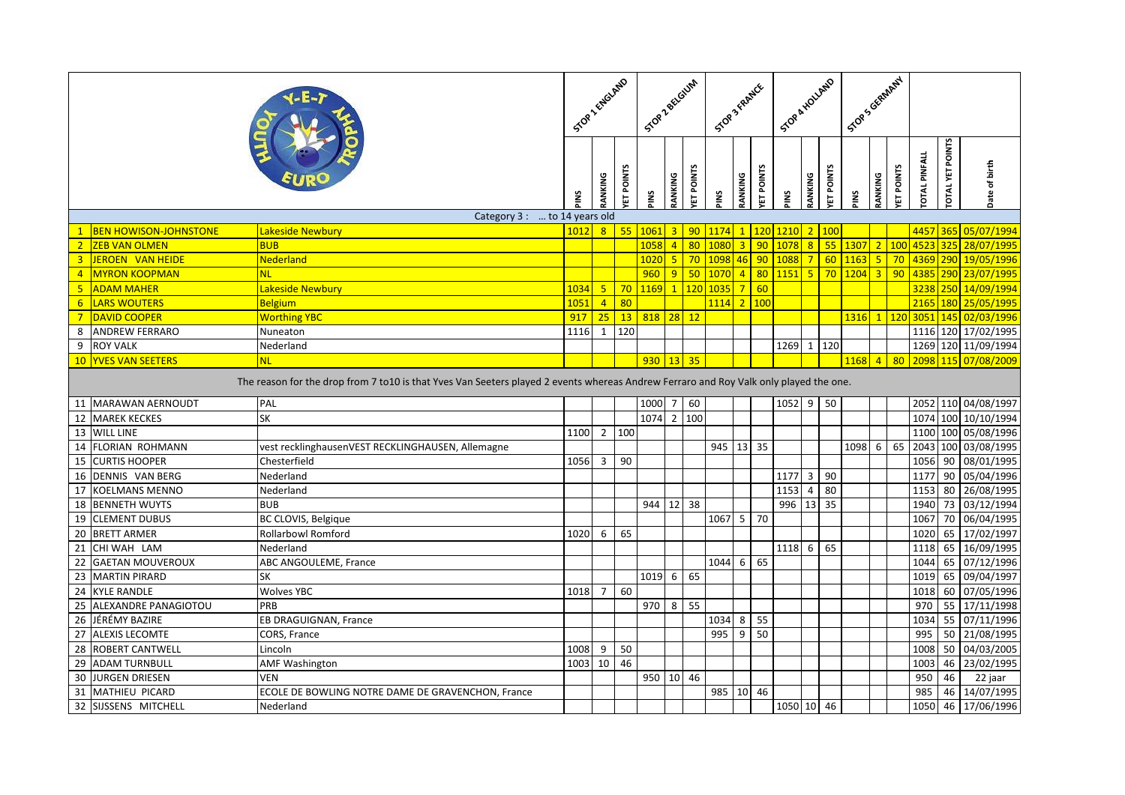|                |                              |                                                                                                                                       |      |                 |                    | Stop Zectorin |                |                  | STOP 3 FRAMER   |                |           | Stop & Houghts |                  |                    | Scots Girman ,                                                                  |         |                  |                      |                         |                     |
|----------------|------------------------------|---------------------------------------------------------------------------------------------------------------------------------------|------|-----------------|--------------------|---------------|----------------|------------------|-----------------|----------------|-----------|----------------|------------------|--------------------|---------------------------------------------------------------------------------|---------|------------------|----------------------|-------------------------|---------------------|
|                |                              |                                                                                                                                       | SNId | RANKING         | ET POINTS          | PINS          | RANKING        | <b>ET POINTS</b> | <b>PINS</b>     | RANKING        | ET POINTS | ¥ا⊮            | RANKING          | ET POINTS          | PINS                                                                            | RANKING | <b>ET POINTS</b> | <b>TOTAL PINFALL</b> | <b>TOTAL YET POINTS</b> | Date of birth       |
|                |                              | Category 3 :  to 14 years old                                                                                                         |      |                 |                    |               |                |                  |                 |                |           |                |                  |                    |                                                                                 |         |                  |                      |                         |                     |
| $\mathbf{1}$   | <b>BEN HOWISON-JOHNSTONE</b> | Lakeside Newbury                                                                                                                      | 1012 | 8 <sup>1</sup>  | 55                 | 1061          | $\overline{3}$ | 90 <sub>o</sub>  | 1174            |                |           | 1 120 1210     | 2 <sup>2</sup>   | 100                |                                                                                 |         |                  | 4457                 | 365                     | 05/07/1994          |
| 2 <sup>1</sup> | <b>ZEB VAN OLMEN</b>         | <b>BUB</b>                                                                                                                            |      |                 |                    | 1058          | $\overline{4}$ | 80               | 1080            | 3 <sup>1</sup> |           | 90 1078        |                  | $8 \overline{)55}$ |                                                                                 |         | 100              | 4523                 | 325                     | 28/07/1995          |
| $\overline{3}$ | JEROEN VAN HEIDE             | Nederland                                                                                                                             |      |                 |                    | 1020          | 5              | 70               | 1098 46 90 1088 |                |           |                |                  | 7 60               | $1163$                                                                          |         | 70               |                      |                         | 4369 290 19/05/1996 |
| $\overline{4}$ | MYRON KOOPMAN                |                                                                                                                                       |      |                 |                    | 960           | 9              | 50               | 1070            | $\overline{4}$ |           | 80 1151        |                  | $5 \mid 70$        | $\begin{array}{ c c c c c c c c c } \hline 1204 & 3 & 90 \\ \hline \end{array}$ |         |                  | 4385                 |                         | 290 23/07/1995      |
| 5 <sup>5</sup> | <b>ADAM MAHER</b>            | Lakeside Newbury                                                                                                                      | 1034 | 5 <sup>2</sup>  | 70                 | 1169          | $\overline{1}$ | 120              | 1035            |                | 7 60      |                |                  |                    |                                                                                 |         |                  | 3238                 |                         | 250 14/09/1994      |
| $6^{\circ}$    | <b>LARS WOUTERS</b>          | <b>Belgium</b>                                                                                                                        | 1051 | 4 <sup>1</sup>  | 80                 |               |                |                  | 1114 2 100      |                |           |                |                  |                    |                                                                                 |         |                  |                      |                         | 2165 180 25/05/1995 |
| $7\overline{}$ | <b>DAVID COOPER</b>          | <b>Worthing YBC</b>                                                                                                                   | 917  | 25 <sub>2</sub> | 13                 | 818 28 12     |                |                  |                 |                |           |                |                  |                    | 1316 1 120                                                                      |         |                  | 3051                 |                         | 145 02/03/1996      |
| 8              | <b>ANDREW FERRARO</b>        | Nuneaton                                                                                                                              | 1116 | $\mathbf{1}$    | 120                |               |                |                  |                 |                |           |                |                  |                    |                                                                                 |         |                  | 1116                 |                         | 120 17/02/1995      |
| 9              | <b>ROY VALK</b>              | Nederland                                                                                                                             |      |                 |                    |               |                |                  |                 |                |           | 1269           | $1 \mid$         | 120                |                                                                                 |         |                  |                      |                         | 1269 120 11/09/1994 |
|                | 10 YVES VAN SEETERS          | <b>NL</b>                                                                                                                             |      |                 |                    | $930$ 13 35   |                |                  |                 |                |           |                |                  |                    | $1168$ 4                                                                        |         | 80 <sub>o</sub>  |                      |                         | 2098 115 07/08/2009 |
|                |                              | The reason for the drop from 7 to10 is that Yves Van Seeters played 2 events whereas Andrew Ferraro and Roy Valk only played the one. |      |                 |                    |               |                |                  |                 |                |           |                |                  |                    |                                                                                 |         |                  |                      |                         |                     |
|                | 11 MARAWAN AERNOUDT          | PAL                                                                                                                                   |      |                 |                    | 1000          | 7              | 60               |                 |                |           | $1052$ 9 50    |                  |                    |                                                                                 |         |                  |                      |                         | 2052 110 04/08/1997 |
| 12             | <b>MAREK KECKES</b>          | <b>SK</b>                                                                                                                             |      |                 |                    | 1074          |                | 2 100            |                 |                |           |                |                  |                    |                                                                                 |         |                  |                      |                         | 1074 100 10/10/1994 |
|                | 13 WILL LINE                 |                                                                                                                                       | 1100 |                 | $2 \overline{100}$ |               |                |                  |                 |                |           |                |                  |                    |                                                                                 |         |                  |                      |                         | 1100 100 05/08/1996 |
|                | 14 FLORIAN ROHMANN           | vest recklinghausenVEST RECKLINGHAUSEN, Allemagne                                                                                     |      |                 |                    |               |                |                  | 945 13 35       |                |           |                |                  |                    | 1098                                                                            | 6       | 65               | 2043                 |                         | 100 03/08/1995      |
| 15             | <b>CURTIS HOOPER</b>         | Chesterfield                                                                                                                          | 1056 | $\mathbf{3}$    | 90                 |               |                |                  |                 |                |           |                |                  |                    |                                                                                 |         |                  | 1056                 |                         | 90 08/01/1995       |
| 16             | DENNIS VAN BERG              | Nederland                                                                                                                             |      |                 |                    |               |                |                  |                 |                |           | 1177           | $3 \mid 90$      |                    |                                                                                 |         |                  | 1177                 |                         | 90 05/04/1996       |
| 17             | <b>KOELMANS MENNO</b>        | Nederland                                                                                                                             |      |                 |                    |               |                |                  |                 |                |           | 1153           | $\overline{4}$   | 80                 |                                                                                 |         |                  | 1153                 |                         | 80 26/08/1995       |
| 18             | <b>BENNETH WUYTS</b>         | <b>BUB</b>                                                                                                                            |      |                 |                    | 944           | 12             | 38               |                 |                |           | 996            | 13 35            |                    |                                                                                 |         |                  | 1940                 |                         | 73 03/12/1994       |
|                | 19 CLEMENT DUBUS             | BC CLOVIS, Belgique                                                                                                                   |      |                 |                    |               |                |                  | $1067$ 5        |                | 70        |                |                  |                    |                                                                                 |         |                  | 1067                 |                         | 70 06/04/1995       |
| 20             | <b>BRETT ARMER</b>           | <b>Rollarbowl Romford</b>                                                                                                             | 1020 | 6               | 65                 |               |                |                  |                 |                |           |                |                  |                    |                                                                                 |         |                  | 1020                 |                         | 65 17/02/1997       |
| 21             | CHI WAH LAM                  | Nederland                                                                                                                             |      |                 |                    |               |                |                  |                 |                |           | 1118           | $6 \overline{6}$ | 65                 |                                                                                 |         |                  | 1118                 |                         | 65 16/09/1995       |
| 22             | <b>GAETAN MOUVEROUX</b>      | ABC ANGOULEME, France                                                                                                                 |      |                 |                    |               |                |                  | 1044            | 6              | 65        |                |                  |                    |                                                                                 |         |                  | 1044                 |                         | 65 07/12/1996       |
| 23             | <b>MARTIN PIRARD</b>         | <b>SK</b>                                                                                                                             |      |                 |                    | 1019          | 6              | 65               |                 |                |           |                |                  |                    |                                                                                 |         |                  | 1019                 |                         | 65 09/04/1997       |
| 24             | <b>KYLE RANDLE</b>           | <b>Wolves YBC</b>                                                                                                                     | 1018 | $\overline{7}$  | 60                 |               |                |                  |                 |                |           |                |                  |                    |                                                                                 |         |                  | 1018                 |                         | 60 07/05/1996       |
|                | 25 ALEXANDRE PANAGIOTOU      | PRB                                                                                                                                   |      |                 |                    | 970           | 8              | 55               |                 |                |           |                |                  |                    |                                                                                 |         |                  | 970                  |                         | 55 17/11/1998       |
|                | 26 JÉRÉMY BAZIRE             | EB DRAGUIGNAN, France                                                                                                                 |      |                 |                    |               |                |                  | 1034            | 8              | 55        |                |                  |                    |                                                                                 |         |                  | 1034                 |                         | 55 07/11/1996       |
| 27             | <b>ALEXIS LECOMTE</b>        | CORS, France                                                                                                                          |      |                 |                    |               |                |                  | 995             | 9              | 50        |                |                  |                    |                                                                                 |         |                  | 995                  |                         | 50 21/08/1995       |
| 28             | <b>ROBERT CANTWELL</b>       | Lincoln                                                                                                                               | 1008 | 9               | 50                 |               |                |                  |                 |                |           |                |                  |                    |                                                                                 |         |                  | 1008                 |                         | 50 04/03/2005       |
|                | 29 ADAM TURNBULL             | <b>AMF Washington</b>                                                                                                                 | 1003 | $10\,$          | 46                 |               |                |                  |                 |                |           |                |                  |                    |                                                                                 |         |                  | 1003                 |                         | 46 23/02/1995       |
| 30             | JURGEN DRIESEN               | <b>VEN</b>                                                                                                                            |      |                 |                    | 950 10 46     |                |                  |                 |                |           |                |                  |                    |                                                                                 |         |                  | 950                  | 46                      | 22 jaar             |
| 31             | <b>MATHIEU PICARD</b>        | ECOLE DE BOWLING NOTRE DAME DE GRAVENCHON, France                                                                                     |      |                 |                    |               |                |                  | 985             | 10             | 46        |                |                  |                    |                                                                                 |         |                  | 985                  |                         | 46 14/07/1995       |
|                | 32 SIJSSENS MITCHELL         | Nederland                                                                                                                             |      |                 |                    |               |                |                  |                 |                |           | 1050 10 46     |                  |                    |                                                                                 |         |                  | 1050                 |                         | 46 17/06/1996       |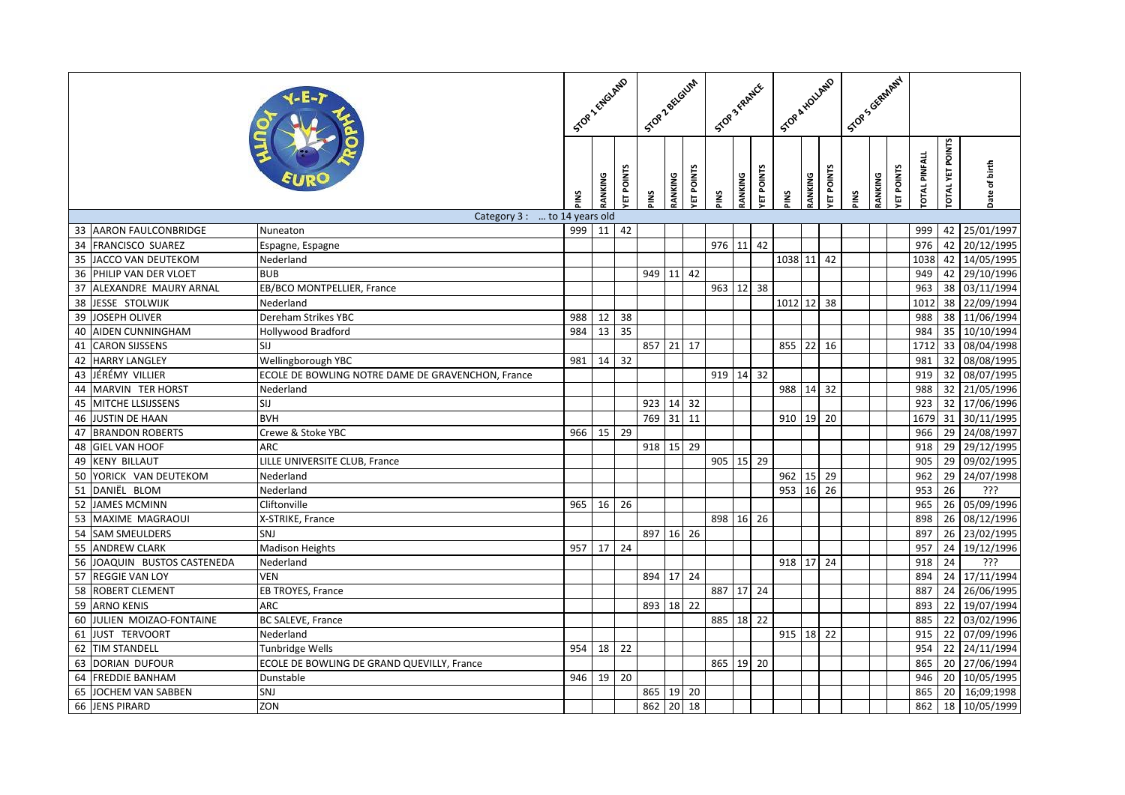|    |                             |                                                   |     |               | STOP 2 ENGLAND | Stop Zectoum |         | STOP 3 FRAME |              |         | Scoe & HOLLAND |               |         | Scors General 1  |     |         |           |                     |                 |               |
|----|-----------------------------|---------------------------------------------------|-----|---------------|----------------|--------------|---------|--------------|--------------|---------|----------------|---------------|---------|------------------|-----|---------|-----------|---------------------|-----------------|---------------|
|    |                             |                                                   | ins | <b>ANKING</b> | ET POINTS      | SNI          | RANKING | ET POINTS    | <b>SNI</b> d | RANKING | ET POINTS      | š             | RANKING | <b>ET POINTS</b> | SNI | RANKING | ET POINTS | <b>OTAL PINFALL</b> | OTAL YET POINTS | Date of birth |
|    |                             | Category 3 :  to 14 years old                     |     |               |                |              |         |              |              |         |                |               |         |                  |     |         |           |                     |                 |               |
|    | 33 AARON FAULCONBRIDGE      | Nuneaton                                          |     | 999 11        | 42             |              |         |              |              |         |                |               |         |                  |     |         |           | 999                 |                 | 42 25/01/1997 |
|    | 34 FRANCISCO SUAREZ         | Espagne, Espagne                                  |     |               |                |              |         |              | 976 11       |         | 42             |               |         |                  |     |         |           | 976                 |                 | 42 20/12/1995 |
|    | 35 JACCO VAN DEUTEKOM       | Nederland                                         |     |               |                |              |         |              |              |         |                | 1038 11       |         | 42               |     |         |           | 1038                |                 | 42 14/05/1995 |
| 36 | PHILIP VAN DER VLOET        | <b>BUB</b>                                        |     |               |                | 949 11 42    |         |              |              |         |                |               |         |                  |     |         |           | 949                 |                 | 42 29/10/1996 |
|    | 37 ALEXANDRE MAURY ARNAL    | EB/BCO MONTPELLIER, France                        |     |               |                |              |         |              | 963 12       |         | 38             |               |         |                  |     |         |           | 963                 |                 | 38 03/11/1994 |
|    | 38 JESSE STOLWIJK           | Nederland                                         |     |               |                |              |         |              |              |         |                | 1012 12       |         | 38               |     |         |           | 1012                |                 | 38 22/09/1994 |
| 39 | JOSEPH OLIVER               | Dereham Strikes YBC                               | 988 | 12            | 38             |              |         |              |              |         |                |               |         |                  |     |         |           | 988                 |                 | 38 11/06/1994 |
| 40 | <b>AIDEN CUNNINGHAM</b>     | <b>Hollywood Bradford</b>                         | 984 | 13            | 35             |              |         |              |              |         |                |               |         |                  |     |         |           | 984                 | 35              | 10/10/1994    |
| 41 | <b>CARON SIJSSENS</b>       | SIJ                                               |     |               |                | 857 21 17    |         |              |              |         |                | 855           | 22      | 16               |     |         |           | 1712                |                 | 33 08/04/1998 |
| 42 | <b>HARRY LANGLEY</b>        | Wellingborough YBC                                | 981 | 14            | 32             |              |         |              |              |         |                |               |         |                  |     |         |           | 981                 |                 | 32 08/08/1995 |
| 43 | JÉRÉMY VILLIER              | ECOLE DE BOWLING NOTRE DAME DE GRAVENCHON, France |     |               |                |              |         |              | 919 14       |         | 32             |               |         |                  |     |         |           | 919                 |                 | 32 08/07/1995 |
| 44 | MARVIN TER HORST            | Nederland                                         |     |               |                |              |         |              |              |         |                | 988           | 14      | 32               |     |         |           | 988                 |                 | 32 21/05/1996 |
| 45 | <b>MITCHE LLSIJSSENS</b>    | SIJ                                               |     |               |                | 923 14 32    |         |              |              |         |                |               |         |                  |     |         |           | 923                 |                 | 32 17/06/1996 |
| 46 | <b>JUSTIN DE HAAN</b>       | <b>BVH</b>                                        |     |               |                | 769 31       |         | 11           |              |         |                | 910           | 19      | 20               |     |         |           | 1679                |                 | 31 30/11/1995 |
| 47 | <b>BRANDON ROBERTS</b>      | Crewe & Stoke YBC                                 | 966 | 15            | 29             |              |         |              |              |         |                |               |         |                  |     |         |           | 966                 |                 | 29 24/08/1997 |
|    | 48 GIEL VAN HOOF            | <b>ARC</b>                                        |     |               |                | 918 15 29    |         |              |              |         |                |               |         |                  |     |         |           | 918                 |                 | 29 29/12/1995 |
| 49 | <b>KENY BILLAUT</b>         | LILLE UNIVERSITE CLUB, France                     |     |               |                |              |         |              | 905          | 15      | 29             |               |         |                  |     |         |           | 905                 |                 | 29 09/02/1995 |
|    | 50 YORICK VAN DEUTEKOM      | Nederland                                         |     |               |                |              |         |              |              |         |                | 962           | 15 29   |                  |     |         |           | 962                 |                 | 29 24/07/1998 |
| 51 | DANIËL BLOM                 | Nederland                                         |     |               |                |              |         |              |              |         |                | 953   16   26 |         |                  |     |         |           | 953                 | 26              | <u>ذذذ</u>    |
| 52 | <b>JAMES MCMINN</b>         | Cliftonville                                      | 965 | 16            | 26             |              |         |              |              |         |                |               |         |                  |     |         |           | 965                 |                 | 26 05/09/1996 |
| 53 | MAXIME MAGRAOUI             | X-STRIKE, France                                  |     |               |                |              |         |              | 898 16 26    |         |                |               |         |                  |     |         |           | 898                 |                 | 26 08/12/1996 |
|    | 54 SAM SMEULDERS            | SNJ                                               |     |               |                | 897 16 26    |         |              |              |         |                |               |         |                  |     |         |           | 897                 |                 | 26 23/02/1995 |
| 55 | <b>ANDREW CLARK</b>         | <b>Madison Heights</b>                            | 957 | 17            | 24             |              |         |              |              |         |                |               |         |                  |     |         |           | 957                 | 24              | 19/12/1996    |
|    | 56 JOAQUIN BUSTOS CASTENEDA | Nederland                                         |     |               |                |              |         |              |              |         |                | 918 17 24     |         |                  |     |         |           | 918                 | 24              | <u>ذذذ</u>    |
| 57 | <b>REGGIE VAN LOY</b>       | <b>VEN</b>                                        |     |               |                | 894 17 24    |         |              |              |         |                |               |         |                  |     |         |           | 894                 |                 | 24 17/11/1994 |
| 58 | <b>ROBERT CLEMENT</b>       | EB TROYES, France                                 |     |               |                |              |         |              | 887 17       |         | 24             |               |         |                  |     |         |           | 887                 | 24              | 26/06/1995    |
|    | 59 ARNO KENIS               | <b>ARC</b>                                        |     |               |                | 893 18 22    |         |              |              |         |                |               |         |                  |     |         |           | 893                 |                 | 22 19/07/1994 |
|    | 60 JULIEN MOIZAO-FONTAINE   | <b>BC SALEVE, France</b>                          |     |               |                |              |         |              | 885 18 22    |         |                |               |         |                  |     |         |           | 885                 |                 | 22 03/02/1996 |
| 61 | JUST TERVOORT               | Nederland                                         |     |               |                |              |         |              |              |         |                | 915 18 22     |         |                  |     |         |           | 915                 |                 | 22 07/09/1996 |
|    | 62 TIM STANDELL             | <b>Tunbridge Wells</b>                            | 954 | 18            | 22             |              |         |              |              |         |                |               |         |                  |     |         |           | 954                 |                 | 22 24/11/1994 |
|    | 63 DORIAN DUFOUR            | ECOLE DE BOWLING DE GRAND QUEVILLY, France        |     |               |                |              |         |              | 865 19 20    |         |                |               |         |                  |     |         |           | 865                 |                 | 20 27/06/1994 |
| 64 | <b>FREDDIE BANHAM</b>       | Dunstable                                         | 946 | 19            | 20             |              |         |              |              |         |                |               |         |                  |     |         |           | 946                 |                 | 20 10/05/1995 |
| 65 | JOCHEM VAN SABBEN           | SNJ                                               |     |               |                | 865 19 20    |         |              |              |         |                |               |         |                  |     |         |           | 865                 | 20              | 16;09;1998    |
|    | 66 JENS PIRARD              | ZON                                               |     |               |                | 862          | 20      | 18           |              |         |                |               |         |                  |     |         |           | 862                 |                 | 18 10/05/1999 |
|    |                             |                                                   |     |               |                |              |         |              |              |         |                |               |         |                  |     |         |           |                     |                 |               |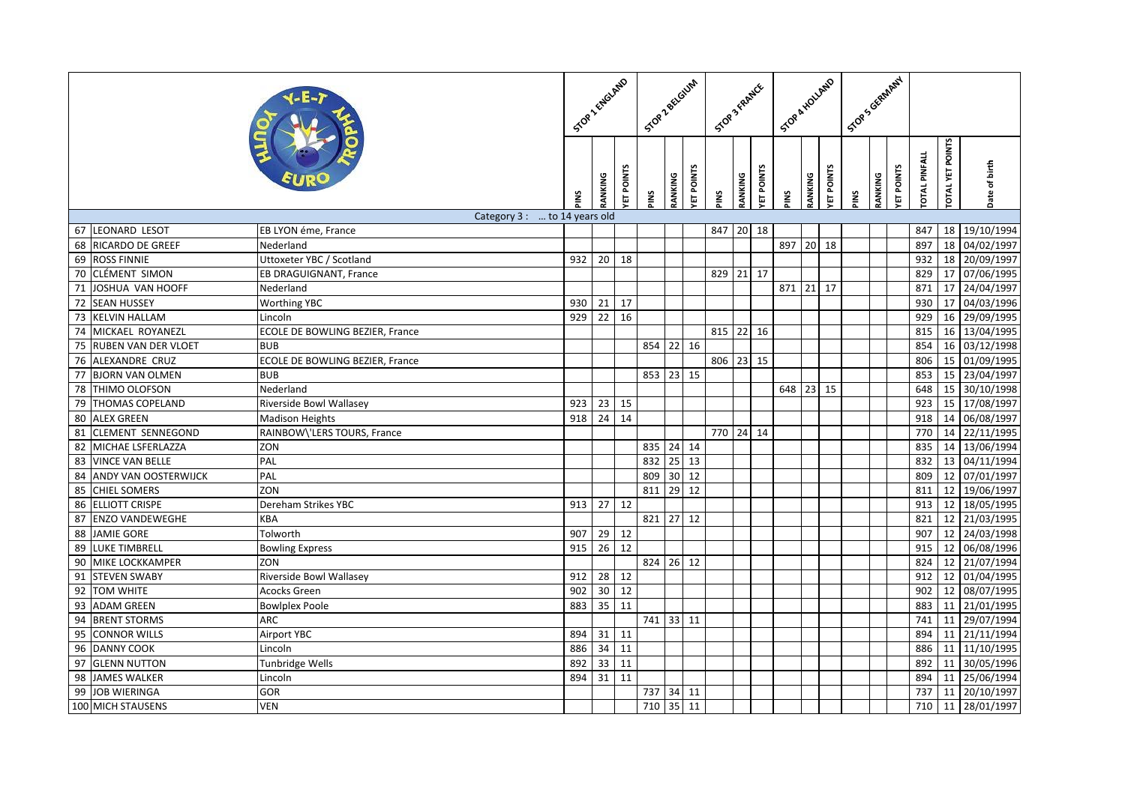|                 |                             |                                 |      |                 | STOP 2 ENGLAND |           | Stop Zectoum |                 | STOP 3 FRAMER |         |           | Stop & HOLLAND |         |           | Scop's Grammy |         |           |                     |                         |               |
|-----------------|-----------------------------|---------------------------------|------|-----------------|----------------|-----------|--------------|-----------------|---------------|---------|-----------|----------------|---------|-----------|---------------|---------|-----------|---------------------|-------------------------|---------------|
|                 |                             |                                 | SNIc | RANKING         | ET POINTS      | PINS      | RANKING      | ET POINTS       | <b>PINS</b>   | RANKING | ET POINTS | SNIc           | RANKING | ET POINTS | SNIc          | RANKING | ET POINTS | <b>OTAL PINFALL</b> | <b>TOTAL YET POINTS</b> | Date of birth |
|                 |                             | Category 3 :  to 14 years old   |      |                 |                |           |              |                 |               |         |           |                |         |           |               |         |           |                     |                         |               |
|                 | 67 LEONARD LESOT            | EB LYON éme, France             |      |                 |                |           |              |                 | 847 20 18     |         |           |                |         |           |               |         |           | 847                 | 18                      | 19/10/1994    |
|                 | 68 RICARDO DE GREEF         | Nederland                       |      |                 |                |           |              |                 |               |         |           | 897            | 20      | 18        |               |         |           | 897                 | 18                      | 04/02/1997    |
|                 | 69 ROSS FINNIE              | Uttoxeter YBC / Scotland        | 932  | 20              | 18             |           |              |                 |               |         |           |                |         |           |               |         |           | 932                 | 18                      | 20/09/1997    |
|                 | 70 CLÉMENT SIMON            | EB DRAGUIGNANT, France          |      |                 |                |           |              |                 | 829 21 17     |         |           |                |         |           |               |         |           | 829                 | 17                      | 07/06/1995    |
| $\overline{71}$ | JOSHUA VAN HOOFF            | Nederland                       |      |                 |                |           |              |                 |               |         |           | 871            | 21      | 17        |               |         |           | 871                 | 17                      | 24/04/1997    |
|                 | 72 SEAN HUSSEY              | <b>Worthing YBC</b>             | 930  | 21              | 17             |           |              |                 |               |         |           |                |         |           |               |         |           | 930                 | 17                      | 04/03/1996    |
|                 | 73 KELVIN HALLAM            | Lincoln                         | 929  | 22              | 16             |           |              |                 |               |         |           |                |         |           |               |         |           | 929                 | 16                      | 29/09/1995    |
| 74              | MICKAEL ROYANEZL            | ECOLE DE BOWLING BEZIER, France |      |                 |                |           |              |                 | 815 22 16     |         |           |                |         |           |               |         |           | 815                 | 16                      | 13/04/1995    |
| 75              | <b>RUBEN VAN DER VLOET</b>  | <b>BUB</b>                      |      |                 |                | 854 22 16 |              |                 |               |         |           |                |         |           |               |         |           | 854                 |                         | 16 03/12/1998 |
|                 | 76 ALEXANDRE CRUZ           | ECOLE DE BOWLING BEZIER, France |      |                 |                |           |              |                 | 806 23 15     |         |           |                |         |           |               |         |           | 806                 | 15                      | 01/09/1995    |
| 77              | <b>BJORN VAN OLMEN</b>      | <b>BUB</b>                      |      |                 |                | 853 23 15 |              |                 |               |         |           |                |         |           |               |         |           | 853                 | 15                      | 23/04/1997    |
|                 | 78 THIMO OLOFSON            | Nederland                       |      |                 |                |           |              |                 |               |         |           | 648 23 15      |         |           |               |         |           | 648                 | 15                      | 30/10/1998    |
| 79              | <b>THOMAS COPELAND</b>      | Riverside Bowl Wallasey         | 923  | 23              | 15             |           |              |                 |               |         |           |                |         |           |               |         |           | 923                 | 15                      | 17/08/1997    |
| 80              | <b>ALEX GREEN</b>           | <b>Madison Heights</b>          | 918  | 24              | 14             |           |              |                 |               |         |           |                |         |           |               |         |           | 918                 | 14                      | 06/08/1997    |
| 81              | <b>CLEMENT SENNEGOND</b>    | RAINBOW\'LERS TOURS, France     |      |                 |                |           |              |                 | 770 24 14     |         |           |                |         |           |               |         |           | 770                 | 14                      | 22/11/1995    |
| 82              | MICHAE LSFERLAZZA           | ZON                             |      |                 |                | 835 24 14 |              |                 |               |         |           |                |         |           |               |         |           | 835                 | 14                      | 13/06/1994    |
| 83              | <b>VINCE VAN BELLE</b>      | PAL                             |      |                 |                | 832       | $25$ 13      |                 |               |         |           |                |         |           |               |         |           | 832                 | 13                      | 04/11/1994    |
| 84              | <b>ANDY VAN OOSTERWIJCK</b> | PAL                             |      |                 |                | 809       | 30 12        |                 |               |         |           |                |         |           |               |         |           | 809                 |                         | 12 07/01/1997 |
| 85              | <b>CHIEL SOMERS</b>         | ZON                             |      |                 |                | 811       | 29           | 12              |               |         |           |                |         |           |               |         |           | 811                 | 12                      | 19/06/1997    |
| 86              | <b>ELLIOTT CRISPE</b>       | Dereham Strikes YBC             | 913  | 27              | 12             |           |              |                 |               |         |           |                |         |           |               |         |           | 913                 | 12                      | 18/05/1995    |
| 87              | <b>ENZO VANDEWEGHE</b>      | KBA                             |      |                 |                | 821 27 12 |              |                 |               |         |           |                |         |           |               |         |           | 821                 |                         | 12 21/03/1995 |
|                 | 88 JAMIE GORE               | Tolworth                        | 907  | 29              | 12             |           |              |                 |               |         |           |                |         |           |               |         |           | 907                 | 12                      | 24/03/1998    |
| 89              | <b>LUKE TIMBRELL</b>        | <b>Bowling Express</b>          | 915  | 26              | 12             |           |              |                 |               |         |           |                |         |           |               |         |           | 915                 | 12                      | 06/08/1996    |
| 90              | <b>MIKE LOCKKAMPER</b>      | ZON                             |      |                 |                | 824 26 12 |              |                 |               |         |           |                |         |           |               |         |           | 824                 |                         | 12 21/07/1994 |
| 91              | <b>STEVEN SWABY</b>         | Riverside Bowl Wallasey         | 912  | 28              | 12             |           |              |                 |               |         |           |                |         |           |               |         |           | 912                 | 12                      | 01/04/1995    |
| 92              | <b>TOM WHITE</b>            | <b>Acocks Green</b>             | 902  | 30 <sup>°</sup> | 12             |           |              |                 |               |         |           |                |         |           |               |         |           | 902                 | 12                      | 08/07/1995    |
| 93              | <b>ADAM GREEN</b>           | <b>Bowlplex Poole</b>           | 883  | 35              | 11             |           |              |                 |               |         |           |                |         |           |               |         |           | 883                 |                         | 11 21/01/1995 |
| 94              | <b>BRENT STORMS</b>         | <b>ARC</b>                      |      |                 |                | 741 33 11 |              |                 |               |         |           |                |         |           |               |         |           | 741                 | 11                      | 29/07/1994    |
| 95              | <b>CONNOR WILLS</b>         | <b>Airport YBC</b>              | 894  | 31              | 11             |           |              |                 |               |         |           |                |         |           |               |         |           | 894                 |                         | 11 21/11/1994 |
|                 | 96 DANNY COOK               | Lincoln                         | 886  | 34              | 11             |           |              |                 |               |         |           |                |         |           |               |         |           | 886                 |                         | 11 11/10/1995 |
|                 | 97 GLENN NUTTON             | Tunbridge Wells                 | 892  | 33              | 11             |           |              |                 |               |         |           |                |         |           |               |         |           | 892                 | 11                      | 30/05/1996    |
| 98              | <b>JAMES WALKER</b>         | Lincoln                         | 894  | 31              | 11             |           |              |                 |               |         |           |                |         |           |               |         |           | 894                 | 11                      | 25/06/1994    |
|                 | 99 JOB WIERINGA             | GOR                             |      |                 |                | 737 34 11 |              |                 |               |         |           |                |         |           |               |         |           | 737                 | 11                      | 20/10/1997    |
|                 | 100 MICH STAUSENS           | VEN                             |      |                 |                | 710       | 35           | $\overline{11}$ |               |         |           |                |         |           |               |         |           | 710                 | 11                      | 28/01/1997    |
|                 |                             |                                 |      |                 |                |           |              |                 |               |         |           |                |         |           |               |         |           |                     |                         |               |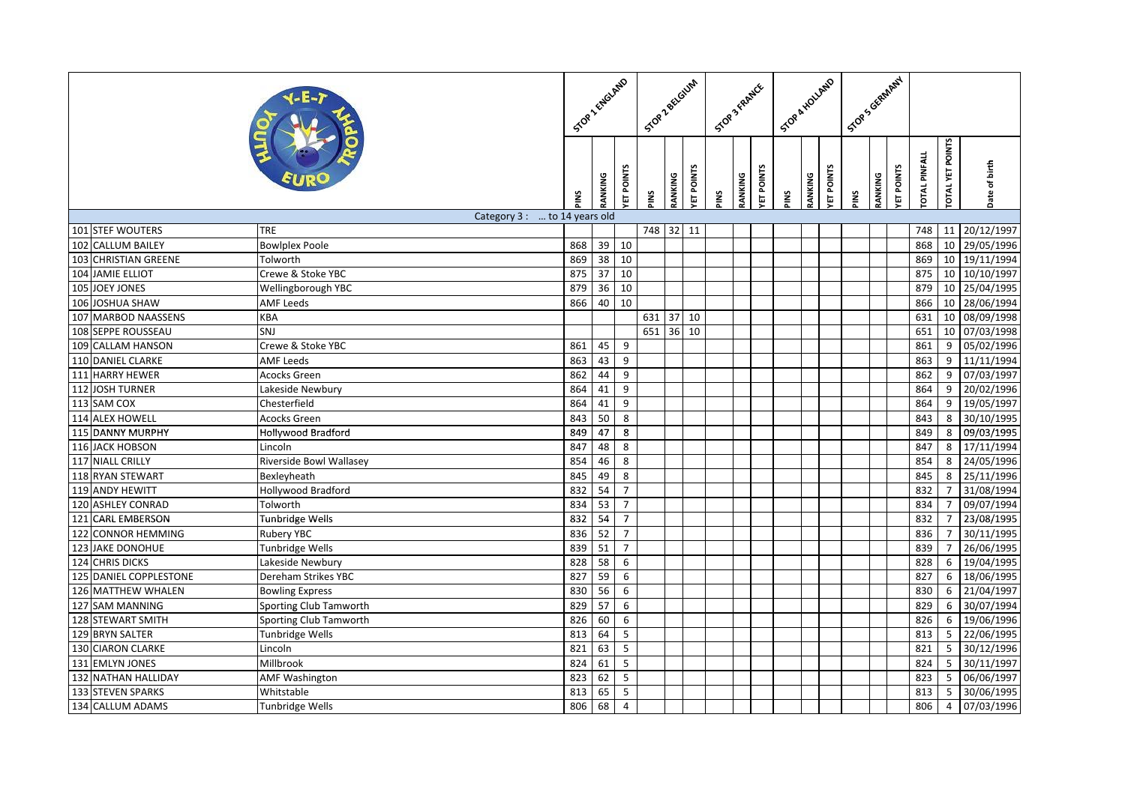|     |                        |                               |      |                 | STOP 2 ENGLAND          | Stop Zectown |           |           | STOP 3 FRAMER |         |           | Scoe & Houter |                      |      |         | Scop's Girman / |                     |                 |               |
|-----|------------------------|-------------------------------|------|-----------------|-------------------------|--------------|-----------|-----------|---------------|---------|-----------|---------------|----------------------|------|---------|-----------------|---------------------|-----------------|---------------|
|     |                        |                               | SNIc | <b>RANKING</b>  | ET POINTS               | PINS         | RANKING   | ET POINTS | PINS          | RANKING | ET POINTS | š             | ET POINTS<br>RANKING | PINS | RANKING | ET POINTS       | <b>OTAL PINFALL</b> | OTAL YET POINTS | Date of birth |
|     |                        | Category 3 :  to 14 years old |      |                 |                         |              |           |           |               |         |           |               |                      |      |         |                 |                     |                 |               |
|     | 101 STEF WOUTERS       | <b>TRE</b>                    |      |                 |                         |              | 748 32    | 11        |               |         |           |               |                      |      |         |                 | 748                 | 11              | 20/12/1997    |
|     | 102 CALLUM BAILEY      | <b>Bowlplex Poole</b>         | 868  | 39              | 10                      |              |           |           |               |         |           |               |                      |      |         |                 | 868                 | $\overline{10}$ | 29/05/1996    |
|     | 103 CHRISTIAN GREENE   | Tolworth                      | 869  | 38              | 10                      |              |           |           |               |         |           |               |                      |      |         |                 | 869                 | 10              | 19/11/1994    |
|     | 104 JAMIE ELLIOT       | Crewe & Stoke YBC             | 875  | 37              | 10                      |              |           |           |               |         |           |               |                      |      |         |                 | 875                 | 10              | 10/10/1997    |
|     | 105 JOEY JONES         | Wellingborough YBC            | 879  | $\overline{36}$ | 10                      |              |           |           |               |         |           |               |                      |      |         |                 | 879                 | 10              | 25/04/1995    |
|     | 106 JOSHUA SHAW        | AMF Leeds                     | 866  | 40              | 10                      |              |           |           |               |         |           |               |                      |      |         |                 | 866                 | 10              | 28/06/1994    |
|     | 107 MARBOD NAASSENS    | KBA                           |      |                 |                         |              | 631 37 10 |           |               |         |           |               |                      |      |         |                 | 631                 | 10              | 08/09/1998    |
|     | 108 SEPPE ROUSSEAU     | SNJ                           |      |                 |                         | 651          | 36        | 10        |               |         |           |               |                      |      |         |                 | 651                 | 10              | 07/03/1998    |
|     | 109 CALLAM HANSON      | Crewe & Stoke YBC             | 861  | 45              | 9                       |              |           |           |               |         |           |               |                      |      |         |                 | 861                 | 9               | 05/02/1996    |
|     | 110 DANIEL CLARKE      | <b>AMF Leeds</b>              | 863  | 43              | $\boldsymbol{9}$        |              |           |           |               |         |           |               |                      |      |         |                 | 863                 | 9               | 11/11/1994    |
|     | 111 HARRY HEWER        | <b>Acocks Green</b>           | 862  | 44              | 9                       |              |           |           |               |         |           |               |                      |      |         |                 | 862                 | 9               | 07/03/1997    |
|     | 112 JOSH TURNER        | Lakeside Newbury              | 864  | 41              | $\boldsymbol{9}$        |              |           |           |               |         |           |               |                      |      |         |                 | 864                 | 9               | 20/02/1996    |
|     | 113 SAM COX            | Chesterfield                  | 864  | 41              | $\overline{9}$          |              |           |           |               |         |           |               |                      |      |         |                 | 864                 | $\overline{9}$  | 19/05/1997    |
|     | 114 ALEX HOWELL        | <b>Acocks Green</b>           | 843  | $50$            | $\bf 8$                 |              |           |           |               |         |           |               |                      |      |         |                 | 843                 | 8               | 30/10/1995    |
|     | 115 DANNY MURPHY       | <b>Hollywood Bradford</b>     | 849  | 47              | $\overline{\mathbf{8}}$ |              |           |           |               |         |           |               |                      |      |         |                 | 849                 | 8               | 09/03/1995    |
|     | 116 JACK HOBSON        | Lincoln                       | 847  | 48              | $\,8\,$                 |              |           |           |               |         |           |               |                      |      |         |                 | 847                 | 8               | 17/11/1994    |
|     | 117 NIALL CRILLY       | Riverside Bowl Wallasey       | 854  | 46              | $\,8\,$                 |              |           |           |               |         |           |               |                      |      |         |                 | 854                 | 8               | 24/05/1996    |
|     | 118 RYAN STEWART       | Bexleyheath                   | 845  | 49              | $\bf 8$                 |              |           |           |               |         |           |               |                      |      |         |                 | 845                 | 8               | 25/11/1996    |
|     | 119 ANDY HEWITT        | <b>Hollywood Bradford</b>     | 832  | 54              | $\overline{7}$          |              |           |           |               |         |           |               |                      |      |         |                 | 832                 | $\overline{7}$  | 31/08/1994    |
|     | 120 ASHLEY CONRAD      | Tolworth                      | 834  | 53              | $\overline{7}$          |              |           |           |               |         |           |               |                      |      |         |                 | 834                 | $\overline{7}$  | 09/07/1994    |
|     | 121 CARL EMBERSON      | <b>Tunbridge Wells</b>        | 832  | 54              | $\overline{7}$          |              |           |           |               |         |           |               |                      |      |         |                 | 832                 | $\overline{7}$  | 23/08/1995    |
|     | 122 CONNOR HEMMING     | Rubery YBC                    | 836  | 52              | $\overline{7}$          |              |           |           |               |         |           |               |                      |      |         |                 | 836                 | $\overline{7}$  | 30/11/1995    |
| 123 | <b>JAKE DONOHUE</b>    | Tunbridge Wells               | 839  | 51              | $\overline{7}$          |              |           |           |               |         |           |               |                      |      |         |                 | 839                 | $\overline{7}$  | 26/06/1995    |
|     | 124 CHRIS DICKS        | Lakeside Newbury              | 828  | 58              | $\overline{6}$          |              |           |           |               |         |           |               |                      |      |         |                 | 828                 | 6               | 19/04/1995    |
|     | 125 DANIEL COPPLESTONE | Dereham Strikes YBC           | 827  | 59              | $\overline{6}$          |              |           |           |               |         |           |               |                      |      |         |                 | 827                 | 6               | 18/06/1995    |
|     | 126 MATTHEW WHALEN     | <b>Bowling Express</b>        | 830  | 56              | 6                       |              |           |           |               |         |           |               |                      |      |         |                 | 830                 | 6               | 21/04/1997    |
|     | 127 SAM MANNING        | Sporting Club Tamworth        | 829  | 57              | 6                       |              |           |           |               |         |           |               |                      |      |         |                 | 829                 | 6               | 30/07/1994    |
|     | 128 STEWART SMITH      | Sporting Club Tamworth        | 826  | 60              | 6                       |              |           |           |               |         |           |               |                      |      |         |                 | 826                 | 6               | 19/06/1996    |
|     | 129 BRYN SALTER        | Tunbridge Wells               | 813  | 64              | $\overline{5}$          |              |           |           |               |         |           |               |                      |      |         |                 | 813                 | 5               | 22/06/1995    |
|     | 130 CIARON CLARKE      | Lincoln                       | 821  | 63              | 5                       |              |           |           |               |         |           |               |                      |      |         |                 | 821                 | $5\overline{)}$ | 30/12/1996    |
|     | 131 EMLYN JONES        | Millbrook                     | 824  | 61              | $\overline{\mathbf{5}}$ |              |           |           |               |         |           |               |                      |      |         |                 | 824                 | $5\phantom{.0}$ | 30/11/1997    |
| 132 | <b>NATHAN HALLIDAY</b> | <b>AMF Washington</b>         | 823  | 62              | $5\phantom{.0}$         |              |           |           |               |         |           |               |                      |      |         |                 | 823                 | 5               | 06/06/1997    |
|     | 133 STEVEN SPARKS      | Whitstable                    | 813  | 65              | 5                       |              |           |           |               |         |           |               |                      |      |         |                 | 813                 | $5\overline{)}$ | 30/06/1995    |
|     | 134 CALLUM ADAMS       | Tunbridge Wells               | 806  | 68              | $\overline{4}$          |              |           |           |               |         |           |               |                      |      |         |                 | 806                 | $\overline{4}$  | 07/03/1996    |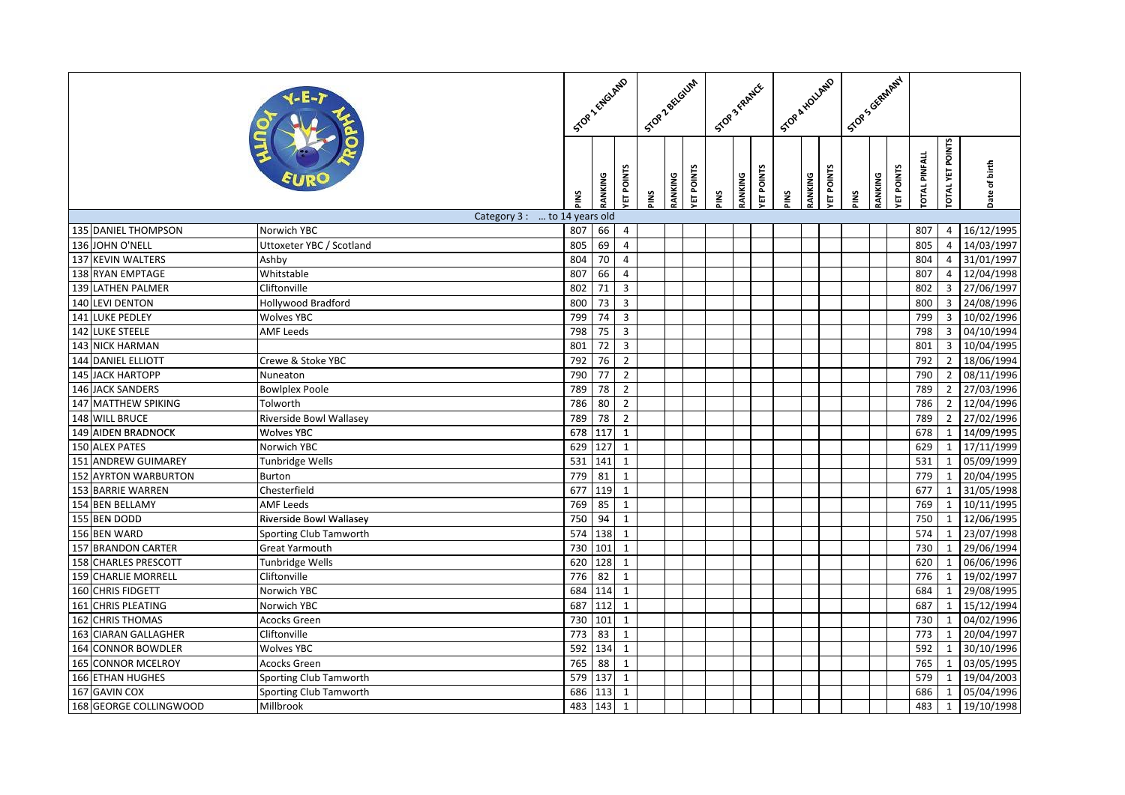|     |                         |                               |      | STOP LENGLAND   |                | Stop Zectown |         |           | STOP 3 FRAMER |         |                  | Scok k Hollago |                      | I Stop Scientral |         |           |                     |                 |               |
|-----|-------------------------|-------------------------------|------|-----------------|----------------|--------------|---------|-----------|---------------|---------|------------------|----------------|----------------------|------------------|---------|-----------|---------------------|-----------------|---------------|
|     |                         |                               | SNIc | RANKING         | ET POINTS      | PINS         | RANKING | ET POINTS | PINS          | RANKING | <b>ET POINTS</b> | SNIc           | ET POINTS<br>RANKING | PINS             | RANKING | ET POINTS | <b>OTAL PINFALL</b> | OTAL YET POINTS | Date of birth |
|     |                         | Category 3 :  to 14 years old |      |                 |                |              |         |           |               |         |                  |                |                      |                  |         |           |                     |                 |               |
|     | 135 DANIEL THOMPSON     | Norwich YBC                   | 807  | 66              | 4              |              |         |           |               |         |                  |                |                      |                  |         |           | 807                 | $\overline{4}$  | 16/12/1995    |
|     | 136 JOHN O'NELL         | Uttoxeter YBC / Scotland      | 805  | 69              | 4              |              |         |           |               |         |                  |                |                      |                  |         |           | 805                 | $\overline{4}$  | 14/03/1997    |
|     | 137 KEVIN WALTERS       | Ashby                         | 804  | 70              | $\overline{4}$ |              |         |           |               |         |                  |                |                      |                  |         |           | 804                 | $\overline{4}$  | 31/01/1997    |
|     | 138 RYAN EMPTAGE        | Whitstable                    | 807  | 66              | $\overline{a}$ |              |         |           |               |         |                  |                |                      |                  |         |           | 807                 | $\overline{4}$  | 12/04/1998    |
|     | 139 LATHEN PALMER       | Cliftonville                  | 802  | 71              | $\mathbf{3}$   |              |         |           |               |         |                  |                |                      |                  |         |           | 802                 | $\overline{3}$  | 27/06/1997    |
|     | 140 LEVI DENTON         | Hollywood Bradford            | 800  | 73              | $\mathbf{3}$   |              |         |           |               |         |                  |                |                      |                  |         |           | 800                 | $\overline{3}$  | 24/08/1996    |
|     | 141 LUKE PEDLEY         | <b>Wolves YBC</b>             | 799  | 74              | $\mathbf{3}$   |              |         |           |               |         |                  |                |                      |                  |         |           | 799                 | $\mathbf{3}$    | 10/02/1996    |
| 142 | <b>LUKE STEELE</b>      | <b>AMF Leeds</b>              | 798  | 75              | $\mathbf{3}$   |              |         |           |               |         |                  |                |                      |                  |         |           | 798                 | 3               | 04/10/1994    |
|     | <b>143 NICK HARMAN</b>  |                               | 801  | 72              | $\overline{3}$ |              |         |           |               |         |                  |                |                      |                  |         |           | 801                 | $\overline{3}$  | 10/04/1995    |
|     | 144 DANIEL ELLIOTT      | Crewe & Stoke YBC             | 792  | 76              | $\overline{2}$ |              |         |           |               |         |                  |                |                      |                  |         |           | 792                 | $\overline{2}$  | 18/06/1994    |
| 145 | <b>JACK HARTOPP</b>     | Nuneaton                      | 790  | 77              | $\overline{2}$ |              |         |           |               |         |                  |                |                      |                  |         |           | 790                 | $\overline{2}$  | 08/11/1996    |
|     | 146 JACK SANDERS        | <b>Bowlplex Poole</b>         | 789  | 78              | $\overline{2}$ |              |         |           |               |         |                  |                |                      |                  |         |           | 789                 | $\overline{2}$  | 27/03/1996    |
|     | 147 MATTHEW SPIKING     | Tolworth                      | 786  | 80              | $\overline{2}$ |              |         |           |               |         |                  |                |                      |                  |         |           | 786                 | $\overline{2}$  | 12/04/1996    |
|     | 148 WILL BRUCE          | Riverside Bowl Wallasey       | 789  | 78              | $\overline{2}$ |              |         |           |               |         |                  |                |                      |                  |         |           | 789                 | $2^{\circ}$     | 27/02/1996    |
|     | 149 AIDEN BRADNOCK      | Wolves YBC                    | 678  | 117             | $\mathbf{1}$   |              |         |           |               |         |                  |                |                      |                  |         |           | 678                 | $\mathbf{1}$    | 14/09/1995    |
|     | 150 ALEX PATES          | Norwich YBC                   | 629  | $\frac{127}{2}$ | $\mathbf{1}$   |              |         |           |               |         |                  |                |                      |                  |         |           | 629                 | 1               | 17/11/1999    |
|     | 151 ANDREW GUIMAREY     | Tunbridge Wells               | 531  | 141             | $\mathbf{1}$   |              |         |           |               |         |                  |                |                      |                  |         |           | 531                 | $\mathbf{1}$    | 05/09/1999    |
|     | 152 AYRTON WARBURTON    | Burton                        | 779  | 81              | $\mathbf{1}$   |              |         |           |               |         |                  |                |                      |                  |         |           | 779                 | 1               | 20/04/1995    |
|     | 153 BARRIE WARREN       | Chesterfield                  | 677  | 119             | $\mathbf{1}$   |              |         |           |               |         |                  |                |                      |                  |         |           | 677                 | $\mathbf{1}$    | 31/05/1998    |
|     | 154 BEN BELLAMY         | <b>AMF Leeds</b>              | 769  | 85              | $\mathbf{1}$   |              |         |           |               |         |                  |                |                      |                  |         |           | 769                 | $\mathbf{1}$    | 10/11/1995    |
|     | 155 BEN DODD            | Riverside Bowl Wallasey       | 750  | 94              | $\mathbf{1}$   |              |         |           |               |         |                  |                |                      |                  |         |           | 750                 | $\mathbf{1}$    | 12/06/1995    |
|     | 156 BEN WARD            | Sporting Club Tamworth        | 574  | 138             | $\mathbf 1$    |              |         |           |               |         |                  |                |                      |                  |         |           | 574                 | $\mathbf{1}$    | 23/07/1998    |
|     | 157 BRANDON CARTER      | Great Yarmouth                | 730  | 101             | $\mathbf{1}$   |              |         |           |               |         |                  |                |                      |                  |         |           | 730                 | $\mathbf{1}$    | 29/06/1994    |
|     | 158 CHARLES PRESCOTT    | Tunbridge Wells               | 620  | 128             | $\mathbf{1}$   |              |         |           |               |         |                  |                |                      |                  |         |           | 620                 | $\mathbf{1}$    | 06/06/1996    |
|     | 159 CHARLIE MORRELL     | Cliftonville                  | 776  | 82              | $\overline{1}$ |              |         |           |               |         |                  |                |                      |                  |         |           | 776                 | $\mathbf{1}$    | 19/02/1997    |
|     | 160 CHRIS FIDGETT       | Norwich YBC                   | 684  | 114             | $\mathbf{1}$   |              |         |           |               |         |                  |                |                      |                  |         |           | 684                 | $\mathbf{1}$    | 29/08/1995    |
|     | 161 CHRIS PLEATING      | Norwich YBC                   | 687  | 112             | $\mathbf{1}$   |              |         |           |               |         |                  |                |                      |                  |         |           | 687                 | $\mathbf{1}$    | 15/12/1994    |
|     | 162 CHRIS THOMAS        | Acocks Green                  | 730  | 101             | $\mathbf 1$    |              |         |           |               |         |                  |                |                      |                  |         |           | 730                 | $\mathbf{1}$    | 04/02/1996    |
| 163 | <b>CIARAN GALLAGHER</b> | Cliftonville                  | 773  | 83              | $\mathbf{1}$   |              |         |           |               |         |                  |                |                      |                  |         |           | 773                 | $\mathbf{1}$    | 20/04/1997    |
| 164 | <b>CONNOR BOWDLER</b>   | <b>Wolves YBC</b>             | 592  | 134             | $\mathbf{1}$   |              |         |           |               |         |                  |                |                      |                  |         |           | 592                 | $\mathbf{1}$    | 30/10/1996    |
|     | 165 CONNOR MCELROY      | Acocks Green                  | 765  | 88              | $\mathbf 1$    |              |         |           |               |         |                  |                |                      |                  |         |           | 765                 | $\mathbf{1}$    | 03/05/1995    |
|     | 166 ETHAN HUGHES        | Sporting Club Tamworth        | 579  | 137             | $\mathbf{1}$   |              |         |           |               |         |                  |                |                      |                  |         |           | 579                 | $\mathbf{1}$    | 19/04/2003    |
|     | 167 GAVIN COX           | Sporting Club Tamworth        | 686  | 113             | $\mathbf{1}$   |              |         |           |               |         |                  |                |                      |                  |         |           | 686                 | $\mathbf{1}$    | 05/04/1996    |
|     | 168 GEORGE COLLINGWOOD  | Millbrook                     | 483  | 143             | $\mathbf{1}$   |              |         |           |               |         |                  |                |                      |                  |         |           | 483                 | $\mathbf{1}$    | 19/10/1998    |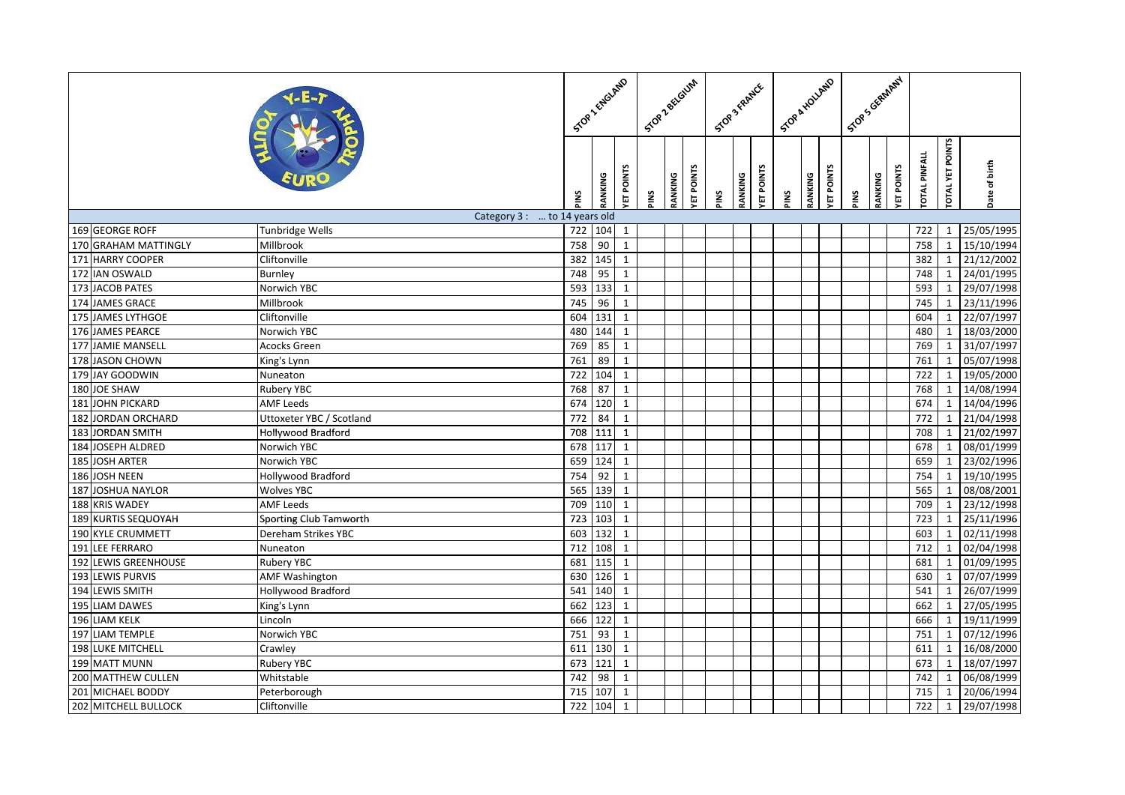|                          |                               |                  | SOR 2 ENGLARED  |              | Stop Zectaum |         |           | STOP 3 FRANCE |         |           |     | ScoakHoungo                 |   |         | I Stop Scientral |                     |                        |                           |
|--------------------------|-------------------------------|------------------|-----------------|--------------|--------------|---------|-----------|---------------|---------|-----------|-----|-----------------------------|---|---------|------------------|---------------------|------------------------|---------------------------|
|                          |                               | sNI              | RANKING         | ET POINTS    | ĩΜ           | RANKING | ET POINTS | SNI           | RANKING | ET POINTS | SNI | ET POINTS<br><b>RANKING</b> | ξ | RANKING | ET POINTS        | <b>OTAL PINFALL</b> | <b>OTAL YET POINTS</b> | Date of birth             |
|                          | Category 3 :  to 14 years old |                  |                 |              |              |         |           |               |         |           |     |                             |   |         |                  |                     |                        |                           |
| 169 GEORGE ROFF          | Tunbridge Wells               | 722              | 104             | $\mathbf{1}$ |              |         |           |               |         |           |     |                             |   |         |                  | 722                 | $\mathbf{1}$           | 25/05/1995                |
| 170 GRAHAM MATTINGLY     | Millbrook                     | 758              | 90              | $\mathbf{1}$ |              |         |           |               |         |           |     |                             |   |         |                  | 758                 | 1                      | 15/10/1994                |
| 171 HARRY COOPER         | Cliftonville                  | 382              | 145             | $\mathbf{1}$ |              |         |           |               |         |           |     |                             |   |         |                  | 382                 |                        | $1 \overline{21/12/2002}$ |
| 172 IAN OSWALD           | <b>Burnley</b>                | 748              | 95              | $\mathbf{1}$ |              |         |           |               |         |           |     |                             |   |         |                  | 748                 | 1                      | 24/01/1995                |
| 173 JACOB PATES          | Norwich YBC                   | 593              | 133             | $\mathbf{1}$ |              |         |           |               |         |           |     |                             |   |         |                  | 593                 | $\mathbf{1}$           | 29/07/1998                |
| 174 JAMES GRACE          | Millbrook                     | 745              | 96              | $\mathbf{1}$ |              |         |           |               |         |           |     |                             |   |         |                  | 745                 | $\mathbf{1}$           | 23/11/1996                |
| 175 JAMES LYTHGOE        | Cliftonville                  | 604              | 131             | $\mathbf{1}$ |              |         |           |               |         |           |     |                             |   |         |                  | 604                 | $\mathbf{1}$           | 22/07/1997                |
| 176 JAMES PEARCE         | Norwich YBC                   | 480              | 144             | $\mathbf{1}$ |              |         |           |               |         |           |     |                             |   |         |                  | 480                 | $\mathbf{1}$           | 18/03/2000                |
| 177 JAMIE MANSELL        | Acocks Green                  | 769              | 85              | $\mathbf{1}$ |              |         |           |               |         |           |     |                             |   |         |                  | 769                 | $\mathbf{1}$           | 31/07/1997                |
| 178 JASON CHOWN          | King's Lynn                   | 761              | 89              | $\mathbf{1}$ |              |         |           |               |         |           |     |                             |   |         |                  | 761                 | $\mathbf{1}$           | 05/07/1998                |
| 179 JAY GOODWIN          | Nuneaton                      | $\overline{722}$ | 104             | $\mathbf{1}$ |              |         |           |               |         |           |     |                             |   |         |                  | 722                 | $\mathbf{1}$           | 19/05/2000                |
| 180 JOE SHAW             | Rubery YBC                    | 768              | 87              | $\mathbf{1}$ |              |         |           |               |         |           |     |                             |   |         |                  | 768                 | $\mathbf{1}$           | 14/08/1994                |
| 181 JOHN PICKARD         | <b>AMF Leeds</b>              | 674              | 120             | $\mathbf{1}$ |              |         |           |               |         |           |     |                             |   |         |                  | 674                 | $1 \mid$               | 14/04/1996                |
| 182 JORDAN ORCHARD       | Uttoxeter YBC / Scotland      | 772              | 84              | $\mathbf{1}$ |              |         |           |               |         |           |     |                             |   |         |                  | 772                 |                        | 1 21/04/1998              |
| 183 JORDAN SMITH         | Hollywood Bradford            | 708              | 111             | $\mathbf{1}$ |              |         |           |               |         |           |     |                             |   |         |                  | 708                 | $\mathbf{1}$           | 21/02/1997                |
| 184 JOSEPH ALDRED        | Norwich YBC                   | 678              | 117             | $\mathbf{1}$ |              |         |           |               |         |           |     |                             |   |         |                  | 678                 | 1                      | 08/01/1999                |
| 185 JOSH ARTER           | Norwich YBC                   | 659              | 124             | $\mathbf{1}$ |              |         |           |               |         |           |     |                             |   |         |                  | 659                 | $\mathbf{1}$           | 23/02/1996                |
| 186 JOSH NEEN            | Hollywood Bradford            | 754              | 92              | $\mathbf{1}$ |              |         |           |               |         |           |     |                             |   |         |                  | 754                 | $\mathbf{1}$           | 19/10/1995                |
| 187 JOSHUA NAYLOR        | <b>Wolves YBC</b>             | 565              | 139             | $\mathbf{1}$ |              |         |           |               |         |           |     |                             |   |         |                  | 565                 | $\mathbf{1}$           | 08/08/2001                |
| 188 KRIS WADEY           | <b>AMF Leeds</b>              | 709              | 110             | $\mathbf{1}$ |              |         |           |               |         |           |     |                             |   |         |                  | 709                 |                        | 1 23/12/1998              |
| 189 KURTIS SEQUOYAH      | Sporting Club Tamworth        | 723              | 103             | $\mathbf{1}$ |              |         |           |               |         |           |     |                             |   |         |                  | 723                 | $\mathbf{1}$           | 25/11/1996                |
| 190 KYLE CRUMMETT        | Dereham Strikes YBC           | 603              | 132             | $\mathbf{1}$ |              |         |           |               |         |           |     |                             |   |         |                  | 603                 | $\mathbf{1}$           | 02/11/1998                |
| 191<br>LEE FERRARO       | Nuneaton                      | 712              | 108             | $\mathbf{1}$ |              |         |           |               |         |           |     |                             |   |         |                  | 712                 | $\mathbf{1}$           | 02/04/1998                |
| 192 LEWIS GREENHOUSE     | <b>Rubery YBC</b>             | 681              | 115             | $\mathbf{1}$ |              |         |           |               |         |           |     |                             |   |         |                  | 681                 | $\mathbf{1}$           | 01/09/1995                |
| 193 LEWIS PURVIS         | <b>AMF Washington</b>         | 630              | 126             | $\mathbf{1}$ |              |         |           |               |         |           |     |                             |   |         |                  | 630                 |                        | $1 \overline{07/07/1999}$ |
| 194 LEWIS SMITH          | Hollywood Bradford            | 541              | 140             | $\mathbf{1}$ |              |         |           |               |         |           |     |                             |   |         |                  | 541                 | $\mathbf{1}$           | 26/07/1999                |
| 195 LIAM DAWES           | King's Lynn                   | 662              | 123             | $\mathbf{1}$ |              |         |           |               |         |           |     |                             |   |         |                  | 662                 | $\mathbf{1}$           | 27/05/1995                |
| 196 LIAM KELK            | Lincoln                       | 666              | 122             | $\mathbf{1}$ |              |         |           |               |         |           |     |                             |   |         |                  | 666                 | 1                      | 19/11/1999                |
| 197 LIAM TEMPLE          | Norwich YBC                   | 751              | 93              | $\mathbf{1}$ |              |         |           |               |         |           |     |                             |   |         |                  | 751                 | $\mathbf{1}$           | 07/12/1996                |
| <b>198 LUKE MITCHELL</b> | Crawley                       | 611              | 130             | $\mathbf{1}$ |              |         |           |               |         |           |     |                             |   |         |                  | 611                 | $\mathbf{1}$           | 16/08/2000                |
| 199 MATT MUNN            | <b>Rubery YBC</b>             | 673              | $\frac{1}{21}$  | $\mathbf{1}$ |              |         |           |               |         |           |     |                             |   |         |                  | 673                 | $1 \mid$               | 18/07/1997                |
| 200 MATTHEW CULLEN       | Whitstable                    | 742              | $\overline{98}$ | $\mathbf{1}$ |              |         |           |               |         |           |     |                             |   |         |                  | 742                 | $\mathbf{1}$           | 06/08/1999                |
| 201 MICHAEL BODDY        | Peterborough                  | 715              | 107             | $\mathbf{1}$ |              |         |           |               |         |           |     |                             |   |         |                  | 715                 | $\mathbf{1}$           | 20/06/1994                |
| 202 MITCHELL BULLOCK     | Cliftonville                  | 722              | 104             | $\mathbf{1}$ |              |         |           |               |         |           |     |                             |   |         |                  | 722                 | $\mathbf{1}$           | 29/07/1998                |